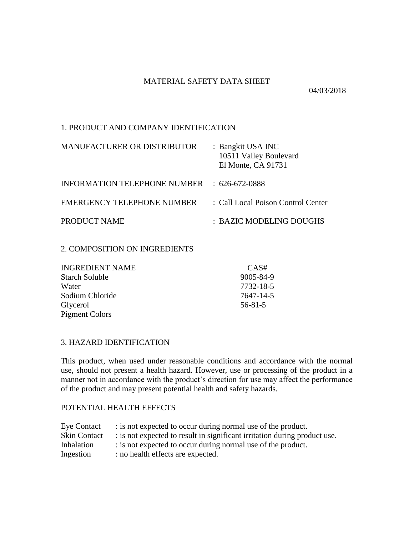# MATERIAL SAFETY DATA SHEET

04/03/2018

# 1. PRODUCT AND COMPANY IDENTIFICATION

| <b>MANUFACTURER OR DISTRIBUTOR</b> | : Bangkit USA INC<br>10511 Valley Boulevard<br>El Monte, CA 91731 |
|------------------------------------|-------------------------------------------------------------------|
| INFORMATION TELEPHONE NUMBER       | $\div$ 626-672-0888                                               |
| EMERGENCY TELEPHONE NUMBER         | : Call Local Poison Control Center                                |
| PRODUCT NAME                       | : BAZIC MODELING DOUGHS                                           |

### 2. COMPOSITION ON INGREDIENTS

| <b>INGREDIENT NAME</b> | CAS#          |
|------------------------|---------------|
| <b>Starch Soluble</b>  | 9005-84-9     |
| Water                  | 7732-18-5     |
| Sodium Chloride        | 7647-14-5     |
| Glycerol               | $56 - 81 - 5$ |
| <b>Pigment Colors</b>  |               |

# 3. HAZARD IDENTIFICATION

This product, when used under reasonable conditions and accordance with the normal use, should not present a health hazard. However, use or processing of the product in a manner not in accordance with the product's direction for use may affect the performance of the product and may present potential health and safety hazards.

### POTENTIAL HEALTH EFFECTS

| <b>Eye Contact</b>  | : is not expected to occur during normal use of the product.              |
|---------------------|---------------------------------------------------------------------------|
| <b>Skin Contact</b> | : is not expected to result in significant irritation during product use. |
| Inhalation          | : is not expected to occur during normal use of the product.              |
| Ingestion           | : no health effects are expected.                                         |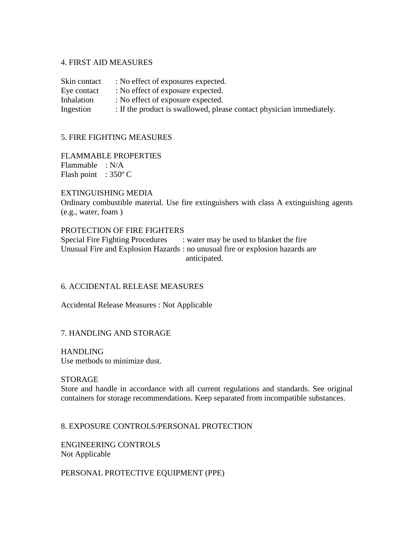### 4. FIRST AID MEASURES

Skin contact : No effect of exposures expected. Eye contact : No effect of exposure expected. Inhalation : No effect of exposure expected. Ingestion : If the product is swallowed, please contact physician immediately.

### 5. FIRE FIGHTING MEASURES

FLAMMABLE PROPERTIES Flammable : N/A Flash point :  $350^{\circ}$  C

#### EXTINGUISHING MEDIA

Ordinary combustible material. Use fire extinguishers with class A extinguishing agents (e.g., water, foam )

#### PROTECTION OF FIRE FIGHTERS

Special Fire Fighting Procedures : water may be used to blanket the fire Unusual Fire and Explosion Hazards : no unusual fire or explosion hazards are anticipated.

### 6. ACCIDENTAL RELEASE MEASURES

Accidental Release Measures : Not Applicable

### 7. HANDLING AND STORAGE

HANDLING Use methods to minimize dust.

#### **STORAGE**

Store and handle in accordance with all current regulations and standards. See original containers for storage recommendations. Keep separated from incompatible substances.

8. EXPOSURE CONTROLS/PERSONAL PROTECTION

ENGINEERING CONTROLS Not Applicable

PERSONAL PROTECTIVE EQUIPMENT (PPE)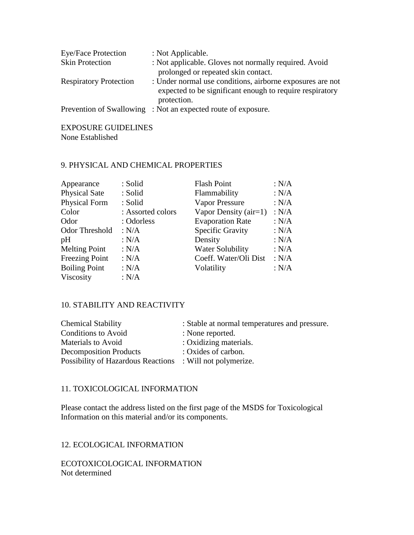| <b>Eye/Face Protection</b>    | : Not Applicable.                                                                                                                    |
|-------------------------------|--------------------------------------------------------------------------------------------------------------------------------------|
| <b>Skin Protection</b>        | : Not applicable. Gloves not normally required. Avoid                                                                                |
|                               | prolonged or repeated skin contact.                                                                                                  |
| <b>Respiratory Protection</b> | : Under normal use conditions, airborne exposures are not<br>expected to be significant enough to require respiratory<br>protection. |
| Prevention of Swallowing      | : Not an expected route of exposure.                                                                                                 |

#### EXPOSURE GUIDELINES None Established

# 9. PHYSICAL AND CHEMICAL PROPERTIES

| : Solid | <b>Flash Point</b>                                                                                                | : N/A |
|---------|-------------------------------------------------------------------------------------------------------------------|-------|
|         | Flammability                                                                                                      | : N/A |
|         | Vapor Pressure                                                                                                    | : N/A |
|         | Vapor Density $(air=1)$                                                                                           | : N/A |
|         | <b>Evaporation Rate</b>                                                                                           | : N/A |
|         | <b>Specific Gravity</b>                                                                                           | : N/A |
|         | Density                                                                                                           | : N/A |
|         | <b>Water Solubility</b>                                                                                           | : N/A |
|         | Coeff. Water/Oli Dist                                                                                             | : N/A |
|         | Volatility                                                                                                        | : N/A |
|         |                                                                                                                   |       |
|         | : Solid<br>: Solid<br>: Assorted colors<br>: Odorless<br>: N/A<br>: $N/A$<br>: N/A<br>: N/A<br>: $N/A$<br>: $N/A$ |       |

# 10. STABILITY AND REACTIVITY

| <b>Chemical Stability</b>                                 | : Stable at normal temperatures and pressure. |
|-----------------------------------------------------------|-----------------------------------------------|
| Conditions to Avoid                                       | : None reported.                              |
| Materials to Avoid                                        | : Oxidizing materials.                        |
| <b>Decomposition Products</b>                             | : Oxides of carbon.                           |
| Possibility of Hazardous Reactions : Will not polymerize. |                                               |

# 11. TOXICOLOGICAL INFORMATION

Please contact the address listed on the first page of the MSDS for Toxicological Information on this material and/or its components.

12. ECOLOGICAL INFORMATION

ECOTOXICOLOGICAL INFORMATION Not determined